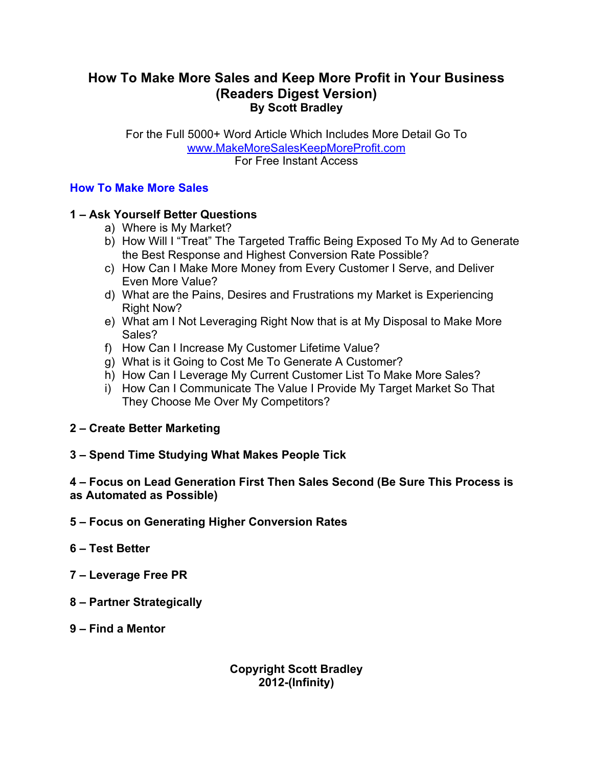# **How To Make More Sales and Keep More Profit in Your Business (Readers Digest Version) By Scott Bradley**

For the Full 5000+ Word Article Which Includes More Detail Go To www.MakeMoreSalesKeepMoreProfit.com For Free Instant Access

### **How To Make More Sales**

## **1 – Ask Yourself Better Questions**

- a) Where is My Market?
- b) How Will I "Treat" The Targeted Traffic Being Exposed To My Ad to Generate the Best Response and Highest Conversion Rate Possible?
- c) How Can I Make More Money from Every Customer I Serve, and Deliver Even More Value?
- d) What are the Pains, Desires and Frustrations my Market is Experiencing Right Now?
- e) What am I Not Leveraging Right Now that is at My Disposal to Make More Sales?
- f) How Can I Increase My Customer Lifetime Value?
- g) What is it Going to Cost Me To Generate A Customer?
- h) How Can I Leverage My Current Customer List To Make More Sales?
- i) How Can I Communicate The Value I Provide My Target Market So That They Choose Me Over My Competitors?

### **2 – Create Better Marketing**

**3 – Spend Time Studying What Makes People Tick**

## **4 – Focus on Lead Generation First Then Sales Second (Be Sure This Process is as Automated as Possible)**

- **5 Focus on Generating Higher Conversion Rates**
- **6 Test Better**
- **7 Leverage Free PR**
- **8 Partner Strategically**
- **9 Find a Mentor**

## **Copyright Scott Bradley 2012-(Infinity)**